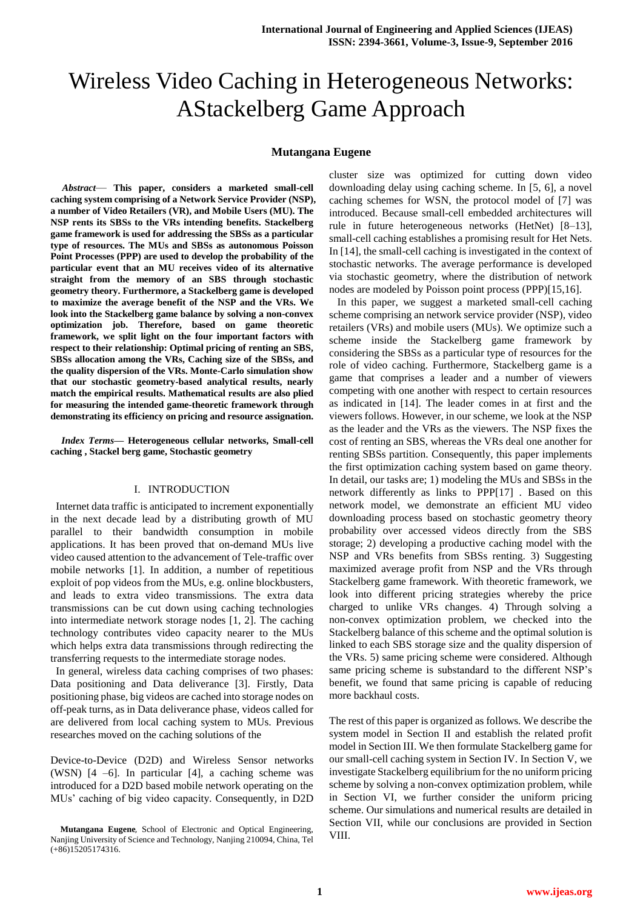# Wireless Video Caching in Heterogeneous Networks: AStackelberg Game Approach

# **Mutangana Eugene**

*Abstract*— **This paper, considers a marketed small-cell caching system comprising of a Network Service Provider (NSP), a number of Video Retailers (VR), and Mobile Users (MU). The NSP rents its SBSs to the VRs intending benefits. Stackelberg game framework is used for addressing the SBSs as a particular type of resources. The MUs and SBSs as autonomous Poisson Point Processes (PPP) are used to develop the probability of the particular event that an MU receives video of its alternative straight from the memory of an SBS through stochastic geometry theory. Furthermore, a Stackelberg game is developed to maximize the average benefit of the NSP and the VRs. We look into the Stackelberg game balance by solving a non-convex optimization job. Therefore, based on game theoretic framework, we split light on the four important factors with respect to their relationship: Optimal pricing of renting an SBS, SBSs allocation among the VRs, Caching size of the SBSs, and the quality dispersion of the VRs. Monte-Carlo simulation show that our stochastic geometry-based analytical results, nearly match the empirical results. Mathematical results are also plied for measuring the intended game-theoretic framework through demonstrating its efficiency on pricing and resource assignation.**

*Index Terms***— Heterogeneous cellular networks, Small-cell caching , Stackel berg game, Stochastic geometry**

## I. INTRODUCTION

 Internet data traffic is anticipated to increment exponentially in the next decade lead by a distributing growth of MU parallel to their bandwidth consumption in mobile applications. It has been proved that on-demand MUs live video caused attention to the advancement of Tele-traffic over mobile networks [1]. In addition, a number of repetitious exploit of pop videos from the MUs, e.g. online blockbusters, and leads to extra video transmissions. The extra data transmissions can be cut down using caching technologies into intermediate network storage nodes [1, 2]. The caching technology contributes video capacity nearer to the MUs which helps extra data transmissions through redirecting the transferring requests to the intermediate storage nodes.

 In general, wireless data caching comprises of two phases: Data positioning and Data deliverance [3]. Firstly, Data positioning phase, big videos are cached into storage nodes on off-peak turns, as in Data deliverance phase, videos called for are delivered from local caching system to MUs. Previous researches moved on the caching solutions of the

Device-to-Device (D2D) and Wireless Sensor networks (WSN)  $[4 -6]$ . In particular  $[4]$ , a caching scheme was introduced for a D2D based mobile network operating on the MUs' caching of big video capacity. Consequently, in D2D

cluster size was optimized for cutting down video downloading delay using caching scheme. In [5, 6], a novel caching schemes for WSN, the protocol model of [7] was introduced. Because small-cell embedded architectures will rule in future heterogeneous networks (HetNet) [8–13], small-cell caching establishes a promising result for Het Nets. In [14], the small-cell caching is investigated in the context of stochastic networks. The average performance is developed via stochastic geometry, where the distribution of network nodes are modeled by Poisson point process (PPP)[15,16].

 In this paper, we suggest a marketed small-cell caching scheme comprising an network service provider (NSP), video retailers (VRs) and mobile users (MUs). We optimize such a scheme inside the Stackelberg game framework by considering the SBSs as a particular type of resources for the role of video caching. Furthermore, Stackelberg game is a game that comprises a leader and a number of viewers competing with one another with respect to certain resources as indicated in [14]. The leader comes in at first and the viewers follows. However, in our scheme, we look at the NSP as the leader and the VRs as the viewers. The NSP fixes the cost of renting an SBS, whereas the VRs deal one another for renting SBSs partition. Consequently, this paper implements the first optimization caching system based on game theory. In detail, our tasks are; 1) modeling the MUs and SBSs in the network differently as links to PPP[17] . Based on this network model, we demonstrate an efficient MU video downloading process based on stochastic geometry theory probability over accessed videos directly from the SBS storage; 2) developing a productive caching model with the NSP and VRs benefits from SBSs renting. 3) Suggesting maximized average profit from NSP and the VRs through Stackelberg game framework. With theoretic framework, we look into different pricing strategies whereby the price charged to unlike VRs changes. 4) Through solving a non-convex optimization problem, we checked into the Stackelberg balance of this scheme and the optimal solution is linked to each SBS storage size and the quality dispersion of the VRs. 5) same pricing scheme were considered. Although same pricing scheme is substandard to the different NSP's benefit, we found that same pricing is capable of reducing more backhaul costs.

The rest of this paper is organized as follows. We describe the system model in Section II and establish the related profit model in Section III. We then formulate Stackelberg game for our small-cell caching system in Section IV. In Section V, we investigate Stackelberg equilibrium for the no uniform pricing scheme by solving a non-convex optimization problem, while in Section VI, we further consider the uniform pricing scheme. Our simulations and numerical results are detailed in Section VII, while our conclusions are provided in Section VIII.

**Mutangana Eugene**, School of Electronic and Optical Engineering, Nanjing University of Science and Technology, Nanjing 210094, China, Tel (+86)15205174316.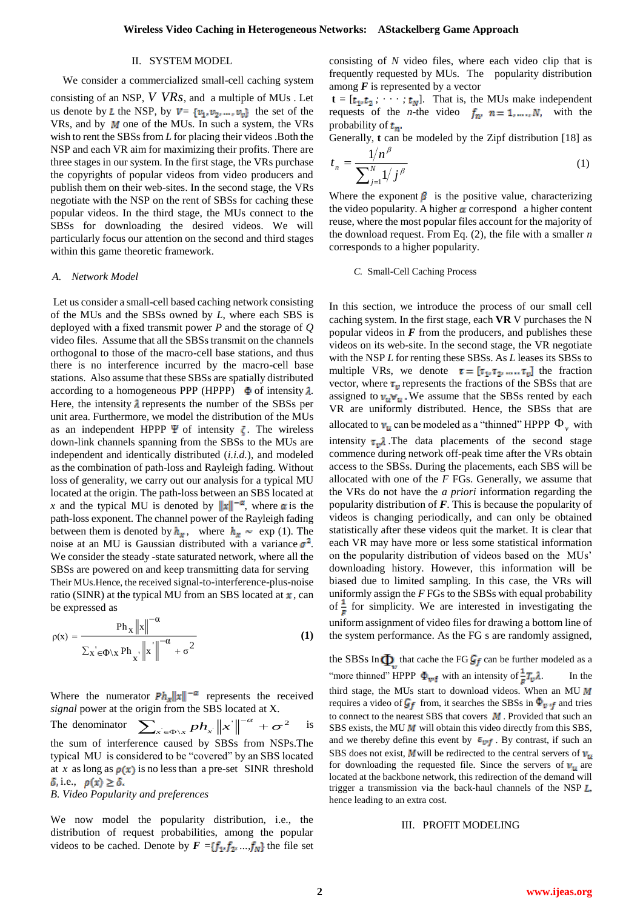### II. SYSTEM MODEL

We consider a commercialized small-cell caching system consisting of an NSP, *V VRs* , and a multiple of MUs . Let us denote by L the NSP, by  $V = \{v_1, v_2, ..., v_v\}$  the set of the VRs, and by  $M$  one of the MUs. In such a system, the VRs wish to rent the SBSs from *L* for placing their videos .Both the NSP and each VR aim for maximizing their profits. There are three stages in our system. In the first stage, the VRs purchase the copyrights of popular videos from video producers and publish them on their web-sites. In the second stage, the VRs negotiate with the NSP on the rent of SBSs for caching these popular videos. In the third stage, the MUs connect to the SBSs for downloading the desired videos. We will particularly focus our attention on the second and third stages within this game theoretic framework.

# *A. Network Model*

Let us consider a small-cell based caching network consisting of the MUs and the SBSs owned by *L*, where each SBS is deployed with a fixed transmit power *P* and the storage of *Q*  video files. Assume that all the SBSs transmit on the channels orthogonal to those of the macro-cell base stations, and thus there is no interference incurred by the macro-cell base stations. Also assume that these SBSs are spatially distributed according to a homogeneous PPP (HPPP)  $\Phi$  of intensity  $\lambda$ . Here, the intensity  $\lambda$  represents the number of the SBSs per unit area. Furthermore, we model the distribution of the MUs as an independent HPPP  $\Psi$  of intensity  $\zeta$ . The wireless down-link channels spanning from the SBSs to the MUs are independent and identically distributed (*i.i.d.*), and modeled as the combination of path-loss and Rayleigh fading. Without loss of generality, we carry out our analysis for a typical MU located at the origin. The path-loss between an SBS located at *x* and the typical MU is denoted by  $||x||^{-\alpha}$ , where  $\alpha$  is the path-loss exponent. The channel power of the Rayleigh fading between them is denoted by  $h_x$ , where  $h_x \sim \exp(1)$ . The noise at an MU is Gaussian distributed with a variance  $\sigma^2$ . We consider the steady -state saturated network, where all the SBSs are powered on and keep transmitting data for serving Their MUs.Hence, the received signal-to-interference-plus-noise ratio (SINR) at the typical MU from an SBS located at  $x$ , can be expressed as

$$
\rho(x) = \frac{Ph_x ||x||^{-\alpha}}{\sum_x' \in \Phi \setminus x Ph_x \cdot ||x'||^{-\alpha} + \sigma^2}
$$
 (1)

Where the numerator  $P h_x ||x||^{-\alpha}$  represents the received *signal* power at the origin from the SBS located at X*.*

The denominator  $\sum_{p}$   $\frac{p}{n}$   $\left\| x \right\|^{-\alpha} + \sigma^2$  $\sum_{x^{'} \in \Phi \setminus x} p h_{x^{'}} {\left\| x^{'} \right\|}^{-\alpha} + \sigma$  is the sum of interference caused by SBSs from NSPs.The typical MU is considered to be "covered" by an SBS located at *x* as long as  $p(x)$  is no less than a pre-set SINR threshold  $\delta$ , i.e.,  $\rho(x) \geq \delta$ .

# *B. Video Popularity and preferences*

We now model the popularity distribution, i.e., the distribution of request probabilities, among the popular videos to be cached. Denote by  $F = \{f_1, f_2, ..., f_N\}$  the file set consisting of *N* video files, where each video clip that is frequently requested by MUs. The popularity distribution among  $\boldsymbol{F}$  is represented by a vector

 $\mathbf{t} = [t_1, t_2; \cdots; t_N].$  That is, the MUs make independent requests of the *n*-the video  $f_n$ ,  $n = 1, ..., N$ , with the probability of  $t_n$ .

Generally, **t** can be modeled by the Zipf distribution [18] as  $1/n^{\beta}$ 

$$
t_n = \frac{1/n'}{\sum_{j=1}^{N} 1/j^{\beta}}
$$
 (1)

Where the exponent  $\beta$  is the positive value, characterizing the video popularity. A higher  $\alpha$  correspond a higher content reuse, where the most popular files account for the majority of the download request. From Eq. (2), the file with a smaller *n*  corresponds to a higher popularity.

## *C.* Small-Cell Caching Process

In this section, we introduce the process of our small cell caching system. In the first stage, each **VR** V purchases the N popular videos in  $F$  from the producers, and publishes these videos on its web-site. In the second stage, the VR negotiate with the NSP *L* for renting these SBSs. As *L* leases its SBSs to multiple VRs, we denote  $\tau = [\tau_1, \tau_2, ..., \tau_v]$  the fraction vector, where  $\tau_v$  represents the fractions of the SBSs that are assigned to  $v_u \nabla_u$ . We assume that the SBSs rented by each VR are uniformly distributed. Hence, the SBSs that are allocated to  $v_u$  can be modeled as a "thinned" HPPP  $\Phi_v$  with intensity  $\tau_{\nu}$ . The data placements of the second stage commence during network off-peak time after the VRs obtain access to the SBSs. During the placements, each SBS will be allocated with one of the *F* FGs. Generally, we assume that the VRs do not have the *a priori* information regarding the popularity distribution of *F*. This is because the popularity of videos is changing periodically, and can only be obtained statistically after these videos quit the market. It is clear that each VR may have more or less some statistical information on the popularity distribution of videos based on the MUs' downloading history. However, this information will be biased due to limited sampling. In this case, the VRs will uniformly assign the *F* FGs to the SBSs with equal probability of  $\frac{1}{r}$  for simplicity. We are interested in investigating the uniform assignment of video files for drawing a bottom line of the system performance. As the FG s are randomly assigned,

the SBSs In  $\Phi$  that cache the FG  $\mathcal{G}_f$  can be further modeled as a "more thinned" HPPP  $\Phi_{\mathbf{wf}}$  with an intensity of  $\frac{1}{\mathbf{z}}T_{\mathbf{v}}\lambda$ . In the third stage, the MUs start to download videos. When an MU  $M$ requires a video of  $\mathcal{G}_f$  from, it searches the SBSs in  $\Phi_{\mathbf{v} \cdot \mathbf{f}}$  and tries to connect to the nearest SBS that covers  $M$ . Provided that such an SBS exists, the MU  $M$  will obtain this video directly from this SBS, and we thereby define this event by  $\varepsilon_{\psi f}$ . By contrast, if such an SBS does not exist, **M** will be redirected to the central servers of  $v_u$ for downloading the requested file. Since the servers of  $v_u$  are located at the backbone network, this redirection of the demand will trigger a transmission via the back-haul channels of the NSP  $L$ , hence leading to an extra cost.

## III. PROFIT MODELING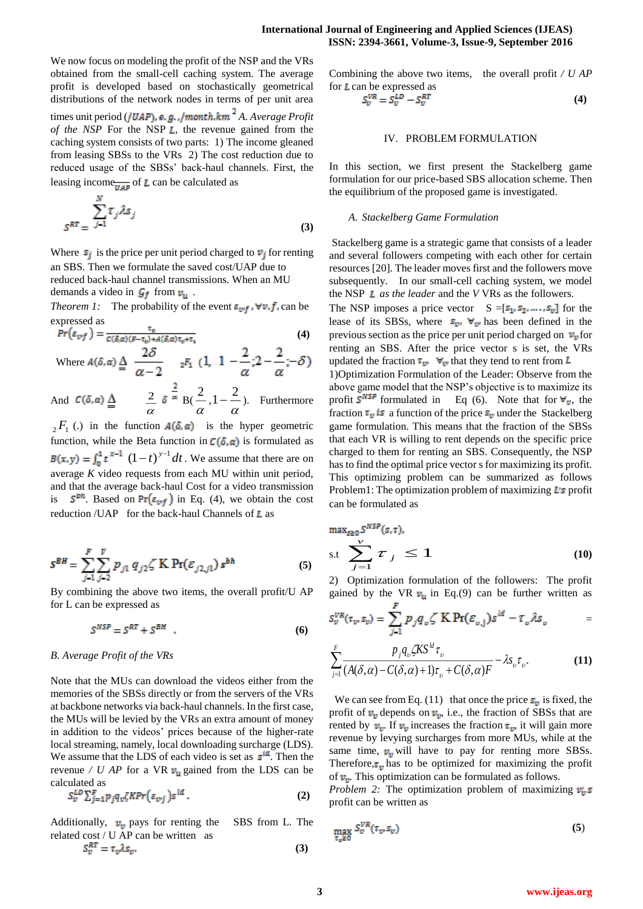We now focus on modeling the profit of the NSP and the VRs obtained from the small-cell caching system. The average profit is developed based on stochastically geometrical distributions of the network nodes in terms of per unit area times unit period (*/UAP*), e.g.,/month.km<sup>2</sup> A. Average Profit *of the NSP* For the NSP *L*, the revenue gained from the caching system consists of two parts: 1) The income gleaned from leasing SBSs to the VRs 2) The cost reduction due to reduced usage of the SBSs' back-haul channels. First, the leasing income<sub>*m*4</sub><sup>2</sup> of **L** can be calculated as

$$
S^{RT} = \sum_{j=1}^{N} \tau_j \lambda s_j \tag{3}
$$

Where  $s_j$  is the price per unit period charged to  $v_j$  for renting an SBS. Then we formulate the saved cost/UAP due to reduced back-haul channel transmissions. When an MU demands a video in  $\mathcal{G}_f$  from  $v_u$ .

*Theorem 1:* The probability of the event  $\varepsilon_{wf}$ ,  $\nabla v$ ,  $f$ , can be expressed as

$$
Pr(\varepsilon_{vf}) = \frac{\tau_v}{c(\delta,\alpha)(F - \tau_v) + A(\delta,\alpha)\tau_v + \tau_v}
$$
(4)

Where 
$$
A(\delta, \alpha) \stackrel{\Delta}{=} \frac{2\delta}{\alpha - 2}
$$
  ${}_{2}F_1$   $(1, 1 - \frac{2}{\alpha}; 2 - \frac{2}{\alpha}; -\delta)$ 

And  $\alpha$  $\frac{2}{\alpha}$   $\delta$   $\approx$  B( $\frac{2}{\alpha}$  $\frac{2}{\alpha}, 1-\frac{2}{\alpha}$  $1-\frac{2}{\pi}$ ). Furthermore

 $_2F_1$  (.) in the function  $A(\delta, \alpha)$  is the hyper geometric function, while the Beta function in  $C(\delta, \alpha)$  is formulated as  $(1-t)^{y-1} dt$ . We assume that there are on average *K* video requests from each MU within unit period, and that the average back-haul Cost for a video transmission  $\mathcal{S}^{bn}$ . Based on  $Pr(\varepsilon_{wf})$  in Eq. (4), we obtain the cost reduction /UAP for the back-haul Channels of  $L$  as

$$
S^{BH} = \sum_{j=1}^{F} \sum_{j=2}^{V} p_{j1} q_{j2} \zeta^{K} \Pr(\varepsilon_{j2,j1}) s^{bh}
$$
 (5)

By combining the above two items, the overall profit/U AP for L can be expressed as

$$
S^{NSP} = S^{RT} + S^{BH} \quad . \tag{6}
$$

## *B. Average Profit of the VRs*

Note that the MUs can download the videos either from the memories of the SBSs directly or from the servers of the VRs at backbone networks via back-haul channels. In the first case, the MUs will be levied by the VRs an extra amount of money in addition to the videos' prices because of the higher-rate local streaming, namely, local downloading surcharge (LDS). We assume that the LDS of each video is set as  $s^{id}$ . Then the revenue */ U AP* for a VR  $v_u$  gained from the LDS can be calculated as

$$
S_{v}^{LD} \sum_{j=1}^{F} p_{j} q_{v} \zeta K Pr(\varepsilon_{v j}) s^{ld} . \tag{2}
$$

Additionally,  $v_{\rm o}$  pays for renting the SBS from L. The related cost / U AP can be written as  $S_n^{RT} = \tau \Delta s$ ...

$$
S_v^{RT} = \tau_v \lambda s_v. \tag{3}
$$

Combining the above two items, the overall profit */ U AP*  for  *can be expressed as* 

$$
S_v^{VR} = S_v^{LD} - S_v^{RT} \tag{4}
$$

## IV. PROBLEM FORMULATION

In this section, we first present the Stackelberg game formulation for our price-based SBS allocation scheme. Then the equilibrium of the proposed game is investigated.

## *A. Stackelberg Game Formulation*

Stackelberg game is a strategic game that consists of a leader and several followers competing with each other for certain resources [20]. The leader moves first and the followers move subsequently. In our small-cell caching system, we model the NSP *as the leader* and the *V* VRs as the followers.

The NSP imposes a price vector  $S = [s_1, s_2, ..., s_v]$  for the lease of its SBSs, where  $s_{\nu}$ ,  $\forall_{\nu}$  has been defined in the previous section as the price per unit period charged on  $v_y$  for renting an SBS. After the price vector s is set, the VRs updated the fraction  $\tau_{\nu}$   $\forall_{\nu}$  that they tend to rent from  $L$ 

1)Optimization Formulation of the Leader: Observe from the above game model that the NSP's objective is to maximize its profit  $S^{NSP}$  formulated in Eq (6). Note that for  $\nabla_{v}$ , the fraction  $\tau_v$  is a function of the price  $s_v$  under the Stackelberg game formulation. This means that the fraction of the SBSs that each VR is willing to rent depends on the specific price charged to them for renting an SBS. Consequently, the NSP has to find the optimal price vector s for maximizing its profit. This optimizing problem can be summarized as follows Problem1: The optimization problem of maximizing  $\mathbf{L}$ s profit can be formulated as

$$
\max_{s \ge 0} S^{NSP}(s, \tau),
$$
  
s.t 
$$
\sum_{j=1}^{V} \tau_j \le 1
$$
 (10)

2) Optimization formulation of the followers: The profit gained by the VR  $v_u$  in Eq.(9) can be further written as

$$
S_v^{VR}(\tau_v, s_v) = \sum_{j=1}^F p_j q_v \zeta \, \mathbf{K} \, \mathbf{Pr}(\varepsilon_{v,j}) s^{id} - \tau_v \lambda s_v \qquad \qquad =
$$

$$
\sum_{j=1}^{F} \frac{p_j q_\upsilon \zeta K S^{ld} \tau_\upsilon}{(A(\delta, \alpha) - C(\delta, \alpha) + 1)\tau_\upsilon + C(\delta, \alpha)F} - \lambda s_\upsilon \tau_\upsilon.
$$
 (11)

We can see from Eq. (11) that once the price  $s_v$  is fixed, the profit of  $v_v$  depends on  $v_v$ , i.e., the fraction of SBSs that are rented by  $v_y$ . If  $v_y$  increases the fraction  $\tau_y$ , it will gain more revenue by levying surcharges from more MUs, while at the same time,  $v_n$  will have to pay for renting more SBSs. Therefore,  $\tau_v$  has to be optimized for maximizing the profit of  $v_{\rm n}$ . This optimization can be formulated as follows.

*Problem 2:* The optimization problem of maximizing  $v_i$ , s profit can be written as

$$
\max_{\tau_v \ge 0} S_v^{VR}(\tau_v, s_v) \tag{5}
$$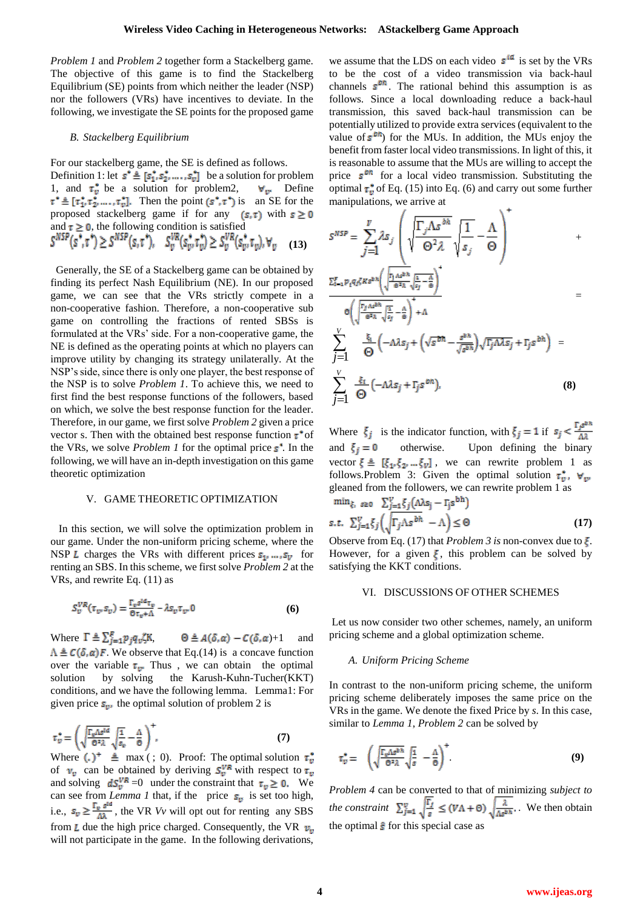*Problem 1* and *Problem 2* together form a Stackelberg game. The objective of this game is to find the Stackelberg Equilibrium (SE) points from which neither the leader (NSP) nor the followers (VRs) have incentives to deviate. In the following, we investigate the SE points for the proposed game

#### *B. Stackelberg Equilibrium*

For our stackelberg game, the SE is defined as follows.

Definition 1: let  $s^* \triangleq [s_1^*, s_2^*, \dots, s_v^*]$  be a solution for problem 1, and  $\tau_v^*$  be a solution for problem2,  $\forall v$  Define  $\tau^* \triangleq [\tau_1^*, \tau_2^*, \dots, \tau_v^*]$ . Then the point  $(s^*, \tau^*)$  is an SE for the proposed stackelberg game if for any  $(s, \tau)$  with  $s \ge 0$ and  $\tau \ge 0$ , the following condition is satisfied<br> $S^{NSP}(s^*, \tau^*) \ge S^{NSP}(s, \tau^*)$ ,  $S^{VR}_v(s^*_v, \tau^*_v) \ge S^{VR}_v(s^*_v, \tau_v)$ ,  $\forall_v$  **(13)**

Generally, the SE of a Stackelberg game can be obtained by finding its perfect Nash Equilibrium (NE). In our proposed game, we can see that the VRs strictly compete in a non-cooperative fashion. Therefore, a non-cooperative sub game on controlling the fractions of rented SBSs is formulated at the VRs' side. For a non-cooperative game, the NE is defined as the operating points at which no players can improve utility by changing its strategy unilaterally. At the NSP's side, since there is only one player, the best response of the NSP is to solve *Problem 1*. To achieve this, we need to first find the best response functions of the followers, based on which, we solve the best response function for the leader. Therefore, in our game, we first solve *Problem 2* given a price vector s. Then with the obtained best response function  $\tau^*$  of the VRs, we solve *Problem 1* for the optimal price  $s^{\dagger}$ . In the following, we will have an in-depth investigation on this game theoretic optimization

#### V. GAME THEORETIC OPTIMIZATION

In this section, we will solve the optimization problem in our game. Under the non-uniform pricing scheme, where the NSP L charges the VRs with different prices  $s_1$ , ...,  $s_v$  for renting an SBS. In this scheme, we first solve *Problem 2* at the VRs, and rewrite Eq. (11) as

$$
S_{\nu}^{VR}(\tau_{\nu} S_{\nu}) = \frac{\Gamma_{\nu} s^{ld} \tau_{\nu}}{\Theta \tau_{\nu} + \Lambda} - \lambda S_{\nu} \tau_{\nu} 0
$$
 (6)

Where  $\Gamma \triangleq \sum_{j=1}^R p_j q_v \zeta K$ ,  $\Theta \triangleq A(\delta, \alpha) - C(\delta, \alpha) + 1$  and  $\Lambda \triangleq C(\delta, \alpha)F$ . We observe that Eq.(14) is a concave function over the variable  $\tau_{\nu}$ . Thus, we can obtain the optimal solution by solving the Karush-Kuhn-Tucher(KKT) conditions, and we have the following lemma. Lemma1: For given price  $s_{\nu}$ , the optimal solution of problem 2 is

$$
\tau_{v}^{\star} = \left(\sqrt{\frac{\Gamma_{v}\Delta s^{1d}}{\Theta^{2}\lambda}}\sqrt{\frac{1}{s_{v}}} - \frac{\Delta}{\Theta}\right)^{\star},\tag{7}
$$

Where  $(.)^+ \triangleq \max$  (; 0). Proof: The optimal solution  $\tau_v^*$ of  $v_v$  can be obtained by deriving  $S_v^{VR}$  with respect to  $\tau_v$ and solving  $dS_v^{\nabla R} = 0$  under the constraint that  $\tau_v \ge 0$ . We can see from *Lemma 1* that, if the price  $s_n$  is set too high, i.e.,  $s_v \ge \frac{f_v}{\Delta}$ , the VR *Vv* will opt out for renting any SBS from L due the high price charged. Consequently, the VR  $v_{\rm u}$ will not participate in the game. In the following derivations,

we assume that the LDS on each video  $s^{ld}$  is set by the VRs to be the cost of a video transmission via back-haul channels  $s^{bn}$ . The rational behind this assumption is as follows. Since a local downloading reduce a back-haul transmission, this saved back-haul transmission can be potentially utilized to provide extra services (equivalent to the value of  $s^{bh}$ ) for the MUs. In addition, the MUs enjoy the benefit from faster local video transmissions. In light of this, it is reasonable to assume that the MUs are willing to accept the price  $s^{\text{on}}$  for a local video transmission. Substituting the optimal  $\tau_v^*$  of Eq. (15) into Eq. (6) and carry out some further manipulations, we arrive at

 $\sqrt{4}$ 

$$
S^{NSP} = \sum_{j=1}^{V} \lambda S_j \left( \sqrt{\frac{\Gamma_j \Lambda s^{bh}}{\Theta^2 \lambda}} \sqrt{\frac{1}{s_j}} - \frac{\Lambda}{\Theta} \right) + \frac{\Sigma_{i=1}^{F} p_i q_j \zeta \kappa s^{bh} \left( \frac{\Gamma_j \Lambda s^{bh}}{\Theta^2 \lambda} \sqrt{\frac{\Lambda}{s_j} - \frac{\Lambda}{\Theta}} \right)^4}{\Theta \left( \sqrt{\frac{\Gamma_j \Lambda s^{bh}}{\Theta^2 \lambda} \sqrt{\frac{\Lambda}{s_j}} - \frac{\Lambda}{\Theta}} \right)^4 + \Lambda}
$$
\n
$$
\sum_{j=1}^{V} \frac{\frac{\xi_i}{\Theta} \left( -\Lambda \delta_j + \left( \sqrt{s^{bh}} - \frac{s^{bh}}{\sqrt{s^{bh}}} \right) \sqrt{\Gamma_j \Lambda \delta_j} + \Gamma_j s^{bh} \right)}{\Theta \left( -\Lambda \delta_j + \Gamma_j s^{bh} \right)} = \sum_{j=1}^{V} \frac{\xi_i}{\Theta} \left( -\Lambda \delta_j + \Gamma_j s^{bh} \right).
$$
\n(8)

Where  $\xi_j$  is the indicator function, with  $\xi_j = 1$  if  $s_j < \frac{\Gamma_j g^{b,h}}{\Delta \lambda}$ and  $\xi_i = 0$  otherwise. Upon defining the binary vector  $\xi \triangleq [\xi_1, \xi_2, ..., \xi_v]$ , we can rewrite problem 1 as follows.Problem 3: Given the optimal solution  $\tau_v^*$ ,  $\forall_w$ gleaned from the followers, we can rewrite problem 1 as  $\min_{\xi_i} s_{\geq 0}$   $\sum_{i=1}^V \xi_i (\Delta \lambda s_i - \Gamma_i s^{\text{bh}})$ 

$$
\sum_{j=1}^{V} \xi_j \left( \sqrt{\Gamma_j \Lambda s^{bh}} - \Lambda \right) \leq \Theta \tag{17}
$$

Observe from Eq. (17) that *Problem 3 is* non-convex due to  $\epsilon$ . However, for a given  $\xi$ , this problem can be solved by satisfying the KKT conditions.

#### VI. DISCUSSIONS OF OTHER SCHEMES

Let us now consider two other schemes, namely, an uniform pricing scheme and a global optimization scheme.

#### *A. Uniform Pricing Scheme*

In contrast to the non-uniform pricing scheme, the uniform pricing scheme deliberately imposes the same price on the VRs in the game. We denote the fixed Price by *s*. In this case, similar to *Lemma 1*, *Problem 2* can be solved by

$$
\tau_v^* = \left( \sqrt{\frac{\Gamma_v \Lambda s^{b \, h}}{\Theta^2 \lambda}} \sqrt{\frac{1}{s}} - \frac{\Lambda}{\Theta} \right)^+ \tag{9}
$$

*Problem 4* can be converted to that of minimizing *subject to the constraint*  $\sum_{i=1}^{v} \frac{|^{t}I|}{t} \leq (V\Lambda + \Theta) \sqrt{\frac{\Lambda}{1+h}}$ . We then obtain the optimal  $\hat{s}$  for this special case as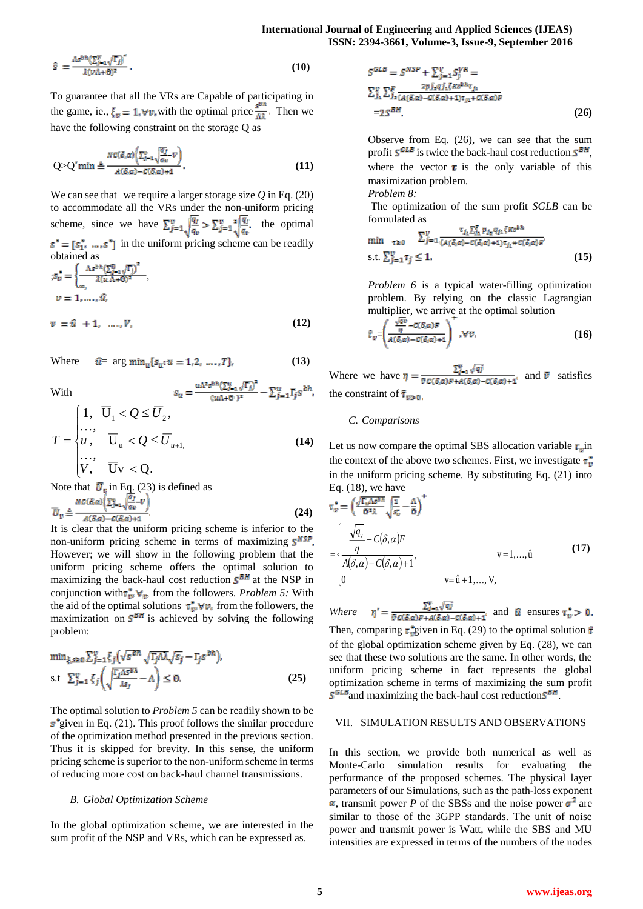$$
\hat{s} = \frac{\Lambda s^{b h} (\sum_{j=1}^{V} \sqrt{\Gamma_j})^2}{\lambda (V \Lambda + \Theta)^2}.
$$
 (10)

To guarantee that all the VRs are Capable of participating in the game, ie.,  $\xi_v = 1$ ,  $\forall v$ , with the optimal price  $\frac{s^{bn}}{4\lambda}$ . Then we have the following constraint on the storage Q as

$$
Q > Q' \min \triangleq \frac{NC(\delta, \alpha) \left(\sum_{j=1}^{n} \sqrt{\frac{\alpha_j}{\alpha_v}} \nu\right)}{A(\delta, \alpha) - C(\delta, \alpha) + 1}.
$$
\n(11)

We can see that we require a larger storage size  $Q$  in Eq. (20) to accommodate all the VRs under the non-uniform pricing scheme, since we have  $\sum_{j=1}^{v} \sqrt{\frac{q_j}{q_v}} > \sum_{j=1}^{v} \sqrt{\frac{q_j}{q_v}}$ , the optimal  $\vec{s}^* = [s_1^*, \dots, s^*]$  in the uniform pricing scheme can be readily obtained as

$$
s_v^* = \begin{cases} \frac{\Lambda s^{p_n} (\sum_{j=1}^n \sqrt{\Gamma_j})}{\lambda (\hat{u} \Lambda + \Theta)^2}, \\ v = 1, \dots, \hat{u}, \\ v = \hat{u} + 1, \dots, V, \end{cases}
$$
(12)

Where 
$$
\hat{u} = \arg \min_{u} \{ s_{u} : u = 1, 2, ..., T \},
$$
 (13)

With

$$
T = \begin{cases} 1, & \overline{U}_1 < Q \le \overline{U}_2, \\ u, & \overline{U}_u < Q \le \overline{U}_{u+1}, \\ \cdots, & \overline{U}_v < Q. \end{cases}
$$
(14)

Note that  $\overline{U}_n$  in Eq. (23) is defined as **(24)**

It is clear that the uniform pricing scheme is inferior to the non-uniform pricing scheme in terms of maximizing  $S^{NSP}$ . However; we will show in the following problem that the uniform pricing scheme offers the optimal solution to maximizing the back-haul cost reduction  $S<sup>BH</sup>$  at the NSP in conjunction with  $\tau_w^* \vee_{v}$ , from the followers. *Problem 5:* With the aid of the optimal solutions  $\tau_w^* \forall v$ , from the followers, the maximization on  $S^{BH}$  is achieved by solving the following problem:

$$
\min_{\xi, s \ge 0} \sum_{j=1}^{v} \xi_j \left( \sqrt{s^{bh}} \sqrt{\Gamma_j \Delta \lambda} \sqrt{s_j} - \Gamma_j s^{bh} \right),
$$
  
s.t 
$$
\sum_{j=1}^{v} \xi_j \left( \sqrt{\frac{\Gamma_j \Delta s^{bh}}{\lambda s_j}} - \Lambda \right) \le 0.
$$
 (25)

The optimal solution to *Problem 5* can be readily shown to be  $\mathbf{s}^*$ given in Eq. (21). This proof follows the similar procedure of the optimization method presented in the previous section. Thus it is skipped for brevity. In this sense, the uniform pricing scheme is superior to the non-uniform scheme in terms of reducing more cost on back-haul channel transmissions.

#### *B. Global Optimization Scheme*

In the global optimization scheme, we are interested in the sum profit of the NSP and VRs, which can be expressed as.

$$
S^{GLB} = S^{NSP} + \sum_{j=1}^{V} S_{j}^{VR} =
$$
  
\n
$$
\sum_{j_1}^{V} \sum_{j_2}^{F} \frac{2p j_2 q j_1 \zeta K s^{bh} \tau_{j_1}}{(A(\delta, \alpha) - C(\delta, \alpha) + 1)\tau_{j_1} + C(\delta, \alpha)F}
$$
  
\n=2S<sup>BH</sup> (26)

Observe from Eq. (26), we can see that the sum profit  $S^{GLB}$  is twice the back-haul cost reduction  $S^{BH}$ , where the vector  $\tau$  is the only variable of this maximization problem.

*Problem 8:*

The optimization of the sum profit *SGLB* can be formulated as **COP** and a Provider

$$
\min_{\tau \ge 0} \sum_{j=1}^{V} \frac{\tau_{j_2} \sum_{j_1} p_{j_2} q_{j_2} \zeta \kappa s^{\mu \kappa}}{(\mathcal{A}(\delta, \alpha) - C(\delta, \alpha) + 1) \tau_{j_1} + C(\delta, \alpha) F'},
$$
\n
$$
\text{s.t.} \sum_{j=1}^{V} \tau_j \le 1. \tag{15}
$$

*Problem 6* is a typical water-filling optimization problem. By relying on the classic Lagrangian multiplier, we arrive at the optimal solution

$$
\hat{\tau}_{v} = \left(\frac{\frac{\sqrt{dv}}{\eta} - C(\delta, \alpha)F}{A(\delta, \alpha) - C(\delta, \alpha) + 1}\right) \quad , \forall v,
$$
\n(16)

Where we have  $\eta = \frac{L_{\text{F}} + V_{\text{F}}}{\frac{E_{\text{F}} + E_{\text{F}}}{\frac{E_{\text{F}} + E_{\text{F}}}{\frac{E_{\text{F}} + E_{\text{F}}}{\frac{E_{\text{F}} + E_{\text{F}}}{\frac{E_{\text{F}} + E_{\text{F}}}{\frac{E_{\text{F}} + E_{\text{F}}}{\frac{E_{\text{F}} + E_{\text{F}}}{\frac{E_{\text{F}} + E_{\text{F}}}{\frac{E_{\text{F}} + E_{\text{F}}}{\frac{E_{\text{F}} + E_{$ the constraint of

## *C. Comparisons*

Let us now compare the optimal SBS allocation variable  $\tau_{\rm m}$ in the context of the above two schemes. First, we investigate  $\tau_{\nu}^*$ in the uniform pricing scheme. By substituting Eq. (21) into Eq.  $(18)$ , we have

$$
\mathbf{r}_{v}^{*} = \left(\frac{\sqrt{\mathbf{r}_{v} \Delta s^{b,h}}}{\mathbf{0}^{2} \lambda} \sqrt{\frac{1}{s_{v}^{*}}} - \frac{\Delta}{\mathbf{0}}\right)^{+}
$$
\n
$$
= \begin{cases}\n\frac{\sqrt{q_{v}}}{\eta} - C(\delta, \alpha)F \\
\frac{\sqrt{q_{v}}}{A(\delta, \alpha) - C(\delta, \alpha) + 1}, & v = 1, ..., \hat{u} \\
0 & v = \hat{u} + 1, ..., V,\n\end{cases}
$$
\n(17)

*Where*  $\eta' = \frac{\sum_{j=1}^{\overline{v}} \sqrt{qj}}{\overline{v} C(\delta, \alpha) F + A(\delta, \alpha) - C(\delta, \alpha) + 1}$  and  $\hat{u}$  ensures  $\tau_v^* > 0$ . Then, comparing  $\tau_v^*$  given in Eq. (29) to the optimal solution  $\hat{\tau}$ of the global optimization scheme given by Eq. (28), we can see that these two solutions are the same. In other words, the uniform pricing scheme in fact represents the global optimization scheme in terms of maximizing the sum profit  $S<sup>GLB</sup>$  and maximizing the back-haul cost reduction  $S<sup>BH</sup>$ .

# VII. SIMULATION RESULTS AND OBSERVATIONS

In this section, we provide both numerical as well as Monte-Carlo simulation results for evaluating the performance of the proposed schemes. The physical layer parameters of our Simulations, such as the path-loss exponent  $\alpha$ , transmit power *P* of the SBSs and the noise power  $\sigma^2$  are similar to those of the 3GPP standards. The unit of noise power and transmit power is Watt, while the SBS and MU intensities are expressed in terms of the numbers of the nodes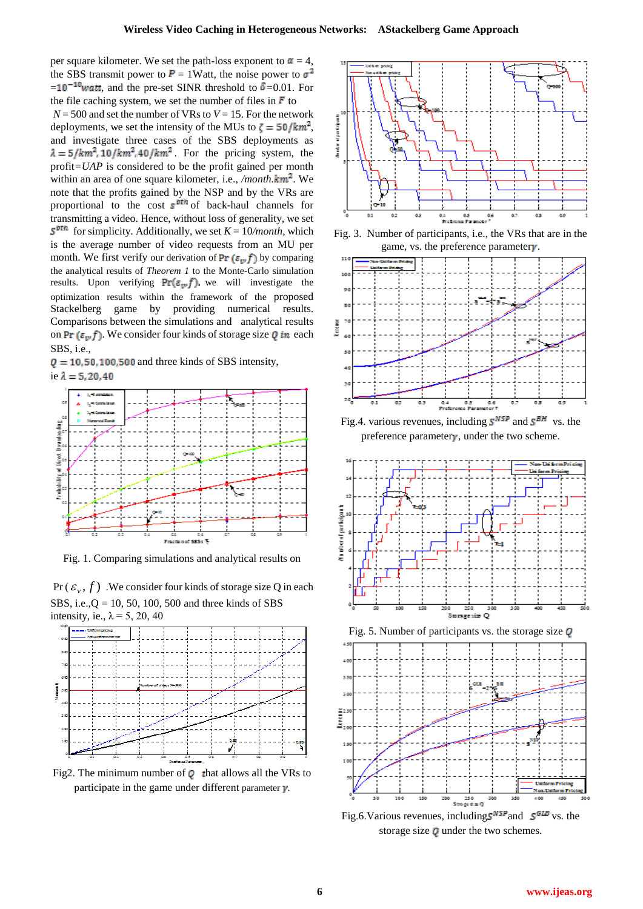per square kilometer. We set the path-loss exponent to  $\alpha = 4$ , the SBS transmit power to  $P = 1$ Watt, the noise power to  $\sigma^2$  $= 10^{-10}$ *watt*, and the pre-set SINR threshold to  $\delta = 0.01$ . For the file caching system, we set the number of files in  $\bf{F}$  to  $N = 500$  and set the number of VRs to  $V = 15$ . For the network deployments, we set the intensity of the MUs to  $\zeta = \frac{50}{km^2}$ , and investigate three cases of the SBS deployments as  $\lambda = 5/km^2$ , 10/km<sup>2</sup>, 40/km<sup>2</sup>. For the pricing system, the profit*=UAP* is considered to be the profit gained per month within an area of one square kilometer, i.e., */month.*  $km^2$ . We note that the profits gained by the NSP and by the VRs are proportional to the cost  $s^{\frac{btn}{p}}$  of back-haul channels for transmitting a video. Hence, without loss of generality, we set  $S<sup>pth</sup>$  for simplicity. Additionally, we set  $K = 10/month$ , which is the average number of video requests from an MU per month. We first verify our derivation of  $Pr(\varepsilon_{w} f)$  by comparing the analytical results of *Theorem 1* to the Monte-Carlo simulation results. Upon verifying  $Pr(\varepsilon_{\nu}, f)$ , we will investigate the optimization results within the framework of the proposed Stackelberg game by providing numerical results. Comparisons between the simulations and analytical results on Pr  $(\varepsilon_{\nu} f)$ . We consider four kinds of storage size Q in each SBS, i.e.,

 $Q = 10, 50, 100, 500$  and three kinds of SBS intensity, ie  $\lambda = 5, 20, 40$ 



Fig. 1. Comparing simulations and analytical results on





Fig2. The minimum number of  $\boldsymbol{Q}$  that allows all the VRs to participate in the game under different parameter  $\nu$ .



Fig. 3. Number of participants, i.e., the VRs that are in the game, vs. the preference parameter $\gamma$ .



Fig.4. various revenues, including  $S^{NSP}$  and  $S^{BH}$  vs. the preference parameter $\gamma$ , under the two scheme.





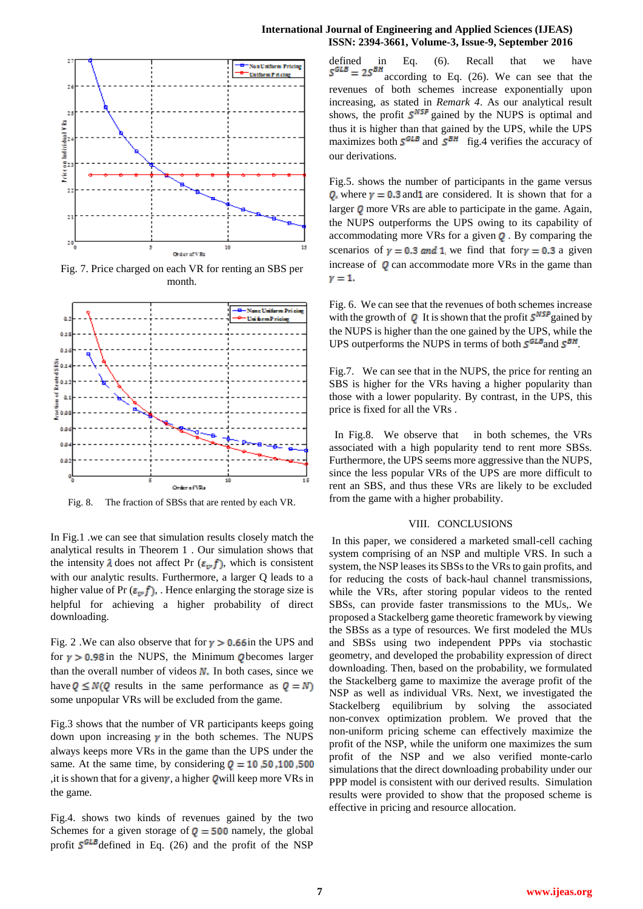

Fig. 7. Price charged on each VR for renting an SBS per month.



Fig. 8. The fraction of SBSs that are rented by each VR.

In Fig.1 .we can see that simulation results closely match the analytical results in Theorem 1 . Our simulation shows that the intensity  $\lambda$  does not affect Pr ( $\epsilon_{\nu} f$ ), which is consistent with our analytic results. Furthermore, a larger Q leads to a higher value of Pr  $(\epsilon_{\nu} f)$ , Hence enlarging the storage size is helpful for achieving a higher probability of direct downloading.

Fig. 2. We can also observe that for  $y > 0.66$  in the UPS and for  $y > 0.98$  in the NUPS, the Minimum Obecomes larger than the overall number of videos  $N$ . In both cases, since we have  $Q \le N(Q)$  results in the same performance as  $Q = N$ some unpopular VRs will be excluded from the game.

Fig.3 shows that the number of VR participants keeps going down upon increasing  $\gamma$  in the both schemes. The NUPS always keeps more VRs in the game than the UPS under the same. At the same time, by considering  $Q = 10,50,100,500$ , it is shown that for a given  $\gamma$ , a higher Q will keep more VRs in the game.

Fig.4. shows two kinds of revenues gained by the two Schemes for a given storage of  $q = 500$  namely, the global profit  $S^{GLB}$  defined in Eq. (26) and the profit of the NSP

## **International Journal of Engineering and Applied Sciences (IJEAS) ISSN: 2394-3661, Volume-3, Issue-9, September 2016**

defined in Eq. (6). Recall that we have<br> $S<sup>GLB</sup> = 2S<sup>BH</sup>$  according to Eq. (26). We can see that the according to Eq. (26). We can see that the revenues of both schemes increase exponentially upon increasing, as stated in *Remark 4*. As our analytical result shows, the profit  $S^{NSP}$  gained by the NUPS is optimal and thus it is higher than that gained by the UPS, while the UPS maximizes both  $S^{GLB}$  and  $S^{BH}$  fig.4 verifies the accuracy of our derivations.

Fig.5. shows the number of participants in the game versus **Q**, where  $y = 0.3$  and are considered. It is shown that for a larger  $Q$  more VRs are able to participate in the game. Again, the NUPS outperforms the UPS owing to its capability of accommodating more VRs for a given  $Q$ . By comparing the scenarios of  $y = 0.3$  and 1 we find that for  $y = 0.3$  a given increase of  $Q$  can accommodate more VRs in the game than  $y=1$ .

Fig. 6. We can see that the revenues of both schemes increase with the growth of  $Q$  It is shown that the profit  $S^{NSP}$  gained by the NUPS is higher than the one gained by the UPS, while the UPS outperforms the NUPS in terms of both  $S^{GLB}$  and  $S^{BH}$ .

Fig.7. We can see that in the NUPS, the price for renting an SBS is higher for the VRs having a higher popularity than those with a lower popularity. By contrast, in the UPS, this price is fixed for all the VRs .

In Fig.8. We observe that in both schemes, the VRs associated with a high popularity tend to rent more SBSs. Furthermore, the UPS seems more aggressive than the NUPS, since the less popular VRs of the UPS are more difficult to rent an SBS, and thus these VRs are likely to be excluded from the game with a higher probability.

# VIII. CONCLUSIONS

In this paper, we considered a marketed small-cell caching system comprising of an NSP and multiple VRS. In such a system, the NSP leases its SBSs to the VRs to gain profits, and for reducing the costs of back-haul channel transmissions, while the VRs, after storing popular videos to the rented SBSs, can provide faster transmissions to the MUs,. We proposed a Stackelberg game theoretic framework by viewing the SBSs as a type of resources. We first modeled the MUs and SBSs using two independent PPPs via stochastic geometry, and developed the probability expression of direct downloading. Then, based on the probability, we formulated the Stackelberg game to maximize the average profit of the NSP as well as individual VRs. Next, we investigated the Stackelberg equilibrium by solving the associated non-convex optimization problem. We proved that the non-uniform pricing scheme can effectively maximize the profit of the NSP, while the uniform one maximizes the sum profit of the NSP and we also verified monte-carlo simulations that the direct downloading probability under our PPP model is consistent with our derived results. Simulation results were provided to show that the proposed scheme is effective in pricing and resource allocation.